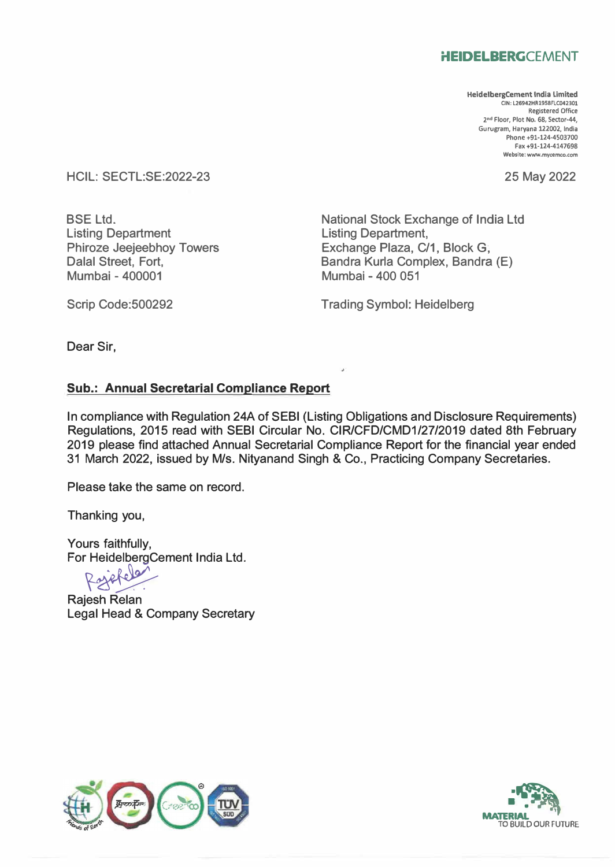## **HEIDELBERGCEMENT**

**HeidelbergCement India Limited CIN: L26942HR1958FLC042301 Registered Office 2 nd Floor, Plot No. 68, Sector-44, Gurugram, Haryana 122002, India Phone +91-124-4503700 Fax +91-124-4147698 Website: www.mycemco.com** 

25 May 2022

HCIL: SECTL:SE:2022-23

BSE Ltd. Listing Department Phiroze Jeejeebhoy Towers Dalal Street, Fort, Mumbai - 400001

National Stock Exchange of India Ltd Listing Department, Exchange Plaza, C/1, Block G, Bandra Kurla Complex, Bandra (E) Mumbai - 400 051

Scrip Code:500292

Trading Symbol: Heidelberg

Dear Sir,

## **Sub.: Annual Secretarial Compliance Report**

In compliance with Regulation 24A of SEBI (Listing Obligations and Disclosure Requirements) Regulations, 2015 read with SEBI Circular No. CIR/CFD/CMD1/27/2019 dated 8th February 2019 please find attached Annual Secretarial Compliance Report for the financial year ended 31 March 2022, issued by M/s. Nityanand Singh & Co., Practicing Company Secretaries.

Please take the same on record.

Thanking you,

Yours faithfully, For HeidelbergCement India Ltd.<br>Refelance

Rajesh Relan Legal Head & Company Secretary



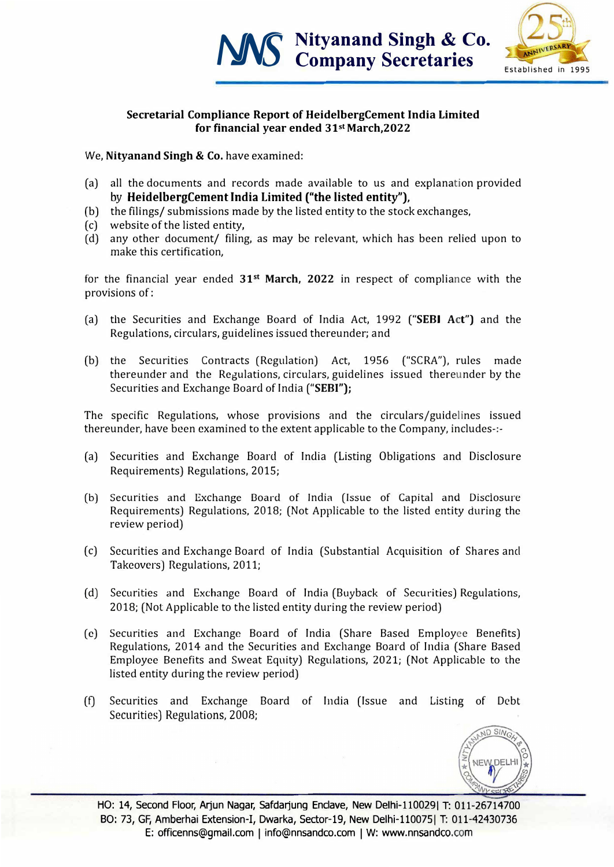



## **Secretarial Compliance Report of HeidelbergCement India Limited for financial year ended 31st March,2022**

We, **Nityanand Singh** & **Co.** have examined:

- (a) all the documents and records made available to us and explanation provided **by HeidelbergCement India Limited ("the listed entity"),**
- (b) the filings/ submissions made by the listed entity to the stock exchanges,
- (c) website of the listed entity,
- (d) any other document/ filing, as may be relevant, which has been relied upon to make this certification,

for the financial year ended **31st March, 2022** in respect of compliance with the provisions of:

- (a) the Securities and Exchange Board of India Act, 1992 **("SEBI Act")** and the Regulations, circulars, guidelines issued thereunder; and
- (b) the Securities Contracts (Regulation) Act, 1956 ("SCRA"), rules made thereunder and the Regulations, circulars, guidelines issued thereunder by the Securities and Exchange Board of India **("SEBI");**

The specific Regulations, whose provisions and the circulars/guidelines issued thereunder, have been examined to the extent applicable to the Company, includes-:-

- (a) Securities and Exchange Board of India (Listing Obligations and Disclosure Requirements) Regulations, 2015;
- (b) Securities and Exchange Board of India (Issue of Capital and Disclosure Requirements) Regulations, 2018; (Not Applicable to the listed entity during the review period)
- (c) Securities and Exchange Board of India (Substantial Acquisition of Shares and Takeovers) Regulations, 2011;
- (d) Securities and Exchange Board of India (Buyback of Securities) Regulations, 2018; (Not Applicable to the listed entity during the review period)
- ( e) Securities and Exchange Board of India (Share Based Employee Benefits) Regulations, 2014 and the Securities and Exchange Board of India (Share Based Employee Benefits and Sweat Equity) Regulations, 2021; (Not Applicable to the listed entity during the review period)
- (f) Securities and Exchange Board of India (Issue and Listing of Debt Securities) Regulations, 2008;



HO: 14, Second Floor, Arjun Nagar, Safdarjung Enclave, New Delhi-110029| T: 011-26714700 BO: 73, GF, Amberhai Extension-I, Dwarka, Sector-19, New Delhi-1100751 T: 011-42430736 E: officenns@gmail.com I info@nnsandco.com I W: www.nnsandco.com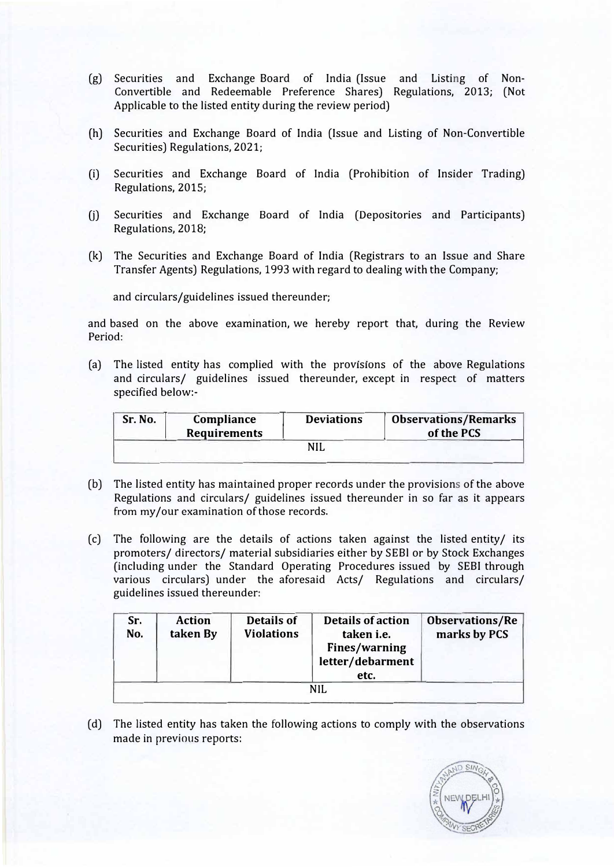- (g) Securities and Exchange Board of India (Issue and Listing of Non-Convertible and Redeemable Preference Shares) Regulations, 2013; (Not Applicable to the listed entity during the review period)
- (h) Securities and Exchange Board of India (Issue and Listing of Non-Convertible Securities) Regulations, 2021;
- (i) Securities and Exchange Board of India (Prohibition of Insider Trading) Regulations, 2015;
- (j) Securities and Exchange Board of India (Depositories and Participants) Regulations, 2018;
- (k) The Securities and Exchange Board of India (Registrars to an Issue and Share Transfer Agents) Regulations, 1993 with regard to dealing with the Company;

and circulars/guidelines issued thereunder;

and based on the above examination, we hereby report that, during the Review Period:

(a) The listed entity has complied with the provisions of the above Regulations and circulars/ guidelines issued thereunder, except in respect of matters specified below:-

| Sr. No. | Compliance<br><b>Requirements</b> | <b>Deviations</b> | <b>Observations/Remarks</b><br>of the PCS |
|---------|-----------------------------------|-------------------|-------------------------------------------|
|         |                                   | NIL               |                                           |

- (b) The listed entity has maintained proper records under the provisions of the above Regulations and circulars/ guidelines issued thereunder in so far as it appears from my/our examination of those records.
- (c) The following are the details of actions taken against the listed entity/ its promoters/ directors/ material subsidiaries either by SEBl or by Stock Exchanges (including under the Standard Operating Procedures issued by SEBI through various circulars) under the aforesaid Acts/ Regulations and circulars/ guidelines issued thereunder:

| Sr.<br>No. | <b>Action</b><br>taken By | <b>Details of</b><br><b>Violations</b> | <b>Details of action</b><br>taken i.e.<br><b>Fines/warning</b><br>letter/debarment<br>etc. | <b>Observations/Re</b><br>marks by PCS |
|------------|---------------------------|----------------------------------------|--------------------------------------------------------------------------------------------|----------------------------------------|
|            |                           |                                        | NH.                                                                                        |                                        |

(d) The listed entity has taken the following actions to comply with the observations made in previous reports: